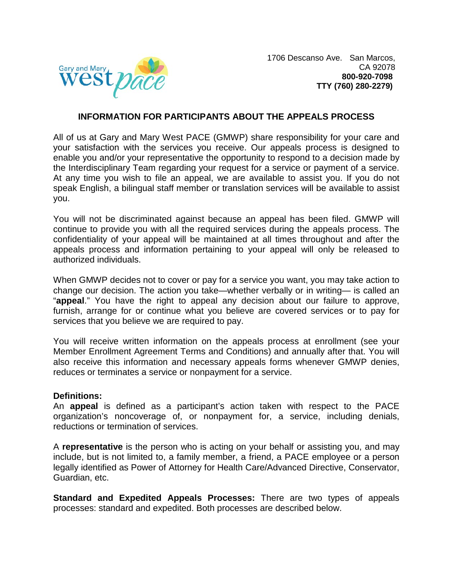

#### **INFORMATION FOR PARTICIPANTS ABOUT THE APPEALS PROCESS**

All of us at Gary and Mary West PACE (GMWP) share responsibility for your care and your satisfaction with the services you receive. Our appeals process is designed to enable you and/or your representative the opportunity to respond to a decision made by the Interdisciplinary Team regarding your request for a service or payment of a service. At any time you wish to file an appeal, we are available to assist you. If you do not speak English, a bilingual staff member or translation services will be available to assist you.

You will not be discriminated against because an appeal has been filed. GMWP will continue to provide you with all the required services during the appeals process. The confidentiality of your appeal will be maintained at all times throughout and after the appeals process and information pertaining to your appeal will only be released to authorized individuals.

When GMWP decides not to cover or pay for a service you want, you may take action to change our decision. The action you take—whether verbally or in writing— is called an "**appeal**." You have the right to appeal any decision about our failure to approve, furnish, arrange for or continue what you believe are covered services or to pay for services that you believe we are required to pay.

You will receive written information on the appeals process at enrollment (see your Member Enrollment Agreement Terms and Conditions) and annually after that. You will also receive this information and necessary appeals forms whenever GMWP denies, reduces or terminates a service or nonpayment for a service.

#### **Definitions:**

An **appeal** is defined as a participant's action taken with respect to the PACE organization's noncoverage of, or nonpayment for, a service, including denials, reductions or termination of services.

A **representative** is the person who is acting on your behalf or assisting you, and may include, but is not limited to, a family member, a friend, a PACE employee or a person legally identified as Power of Attorney for Health Care/Advanced Directive, Conservator, Guardian, etc.

**Standard and Expedited Appeals Processes:** There are two types of appeals processes: standard and expedited. Both processes are described below.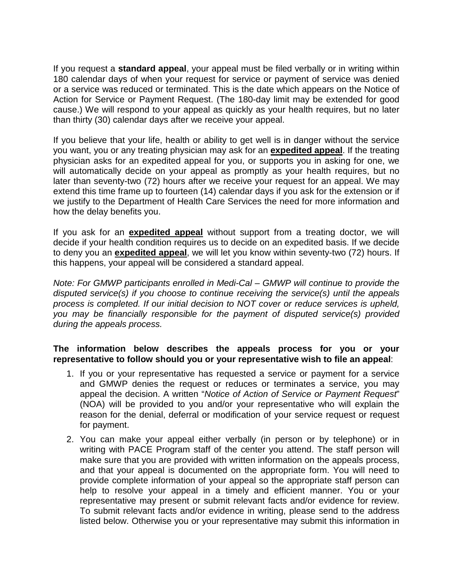If you request a **standard appeal**, your appeal must be filed verbally or in writing within 180 calendar days of when your request for service or payment of service was denied or a service was reduced or terminated. This is the date which appears on the Notice of Action for Service or Payment Request. (The 180-day limit may be extended for good cause.) We will respond to your appeal as quickly as your health requires, but no later than thirty (30) calendar days after we receive your appeal.

If you believe that your life, health or ability to get well is in danger without the service you want, you or any treating physician may ask for an **expedited appeal**. If the treating physician asks for an expedited appeal for you, or supports you in asking for one, we will automatically decide on your appeal as promptly as your health requires, but no later than seventy-two (72) hours after we receive your request for an appeal. We may extend this time frame up to fourteen (14) calendar days if you ask for the extension or if we justify to the Department of Health Care Services the need for more information and how the delay benefits you.

If you ask for an **expedited appeal** without support from a treating doctor, we will decide if your health condition requires us to decide on an expedited basis. If we decide to deny you an **expedited appeal**, we will let you know within seventy-two (72) hours. If this happens, your appeal will be considered a standard appeal.

*Note: For GMWP participants enrolled in Medi-Cal – GMWP will continue to provide the disputed service(s) if you choose to continue receiving the service(s) until the appeals process is completed. If our initial decision to NOT cover or reduce services is upheld, you may be financially responsible for the payment of disputed service(s) provided during the appeals process.*

## **The information below describes the appeals process for you or your representative to follow should you or your representative wish to file an appeal**:

- 1. If you or your representative has requested a service or payment for a service and GMWP denies the request or reduces or terminates a service, you may appeal the decision. A written "*Notice of Action of Service or Payment Request*" (NOA) will be provided to you and/or your representative who will explain the reason for the denial, deferral or modification of your service request or request for payment.
- 2. You can make your appeal either verbally (in person or by telephone) or in writing with PACE Program staff of the center you attend. The staff person will make sure that you are provided with written information on the appeals process, and that your appeal is documented on the appropriate form. You will need to provide complete information of your appeal so the appropriate staff person can help to resolve your appeal in a timely and efficient manner. You or your representative may present or submit relevant facts and/or evidence for review. To submit relevant facts and/or evidence in writing, please send to the address listed below. Otherwise you or your representative may submit this information in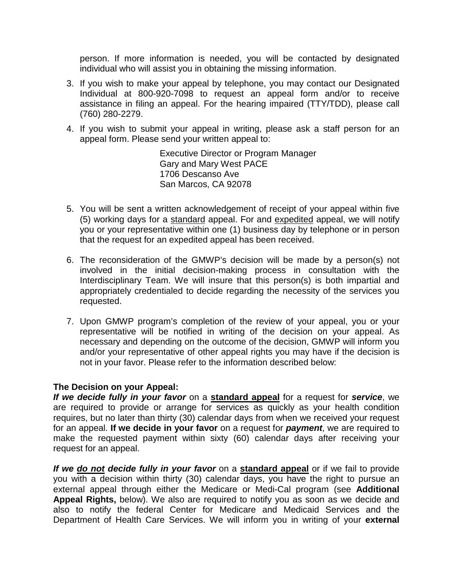person. If more information is needed, you will be contacted by designated individual who will assist you in obtaining the missing information.

- 3. If you wish to make your appeal by telephone, you may contact our Designated Individual at 800-920-7098 to request an appeal form and/or to receive assistance in filing an appeal. For the hearing impaired (TTY/TDD), please call (760) 280-2279.
- 4. If you wish to submit your appeal in writing, please ask a staff person for an appeal form. Please send your written appeal to:

Executive Director or Program Manager Gary and Mary West PACE 1706 Descanso Ave San Marcos, CA 92078

- 5. You will be sent a written acknowledgement of receipt of your appeal within five (5) working days for a standard appeal. For and expedited appeal, we will notify you or your representative within one (1) business day by telephone or in person that the request for an expedited appeal has been received.
- 6. The reconsideration of the GMWP's decision will be made by a person(s) not involved in the initial decision-making process in consultation with the Interdisciplinary Team. We will insure that this person(s) is both impartial and appropriately credentialed to decide regarding the necessity of the services you requested.
- 7. Upon GMWP program's completion of the review of your appeal, you or your representative will be notified in writing of the decision on your appeal. As necessary and depending on the outcome of the decision, GMWP will inform you and/or your representative of other appeal rights you may have if the decision is not in your favor. Please refer to the information described below:

## **The Decision on your Appeal:**

*If we decide fully in your favor* on a **standard appeal** for a request for *service*, we are required to provide or arrange for services as quickly as your health condition requires, but no later than thirty (30) calendar days from when we received your request for an appeal. **If we decide in your favor** on a request for *payment*, we are required to make the requested payment within sixty (60) calendar days after receiving your request for an appeal.

*If we do not decide fully in your favor* on a **standard appeal** or if we fail to provide you with a decision within thirty (30) calendar days, you have the right to pursue an external appeal through either the Medicare or Medi-Cal program (see **Additional Appeal Rights,** below). We also are required to notify you as soon as we decide and also to notify the federal Center for Medicare and Medicaid Services and the Department of Health Care Services. We will inform you in writing of your **external**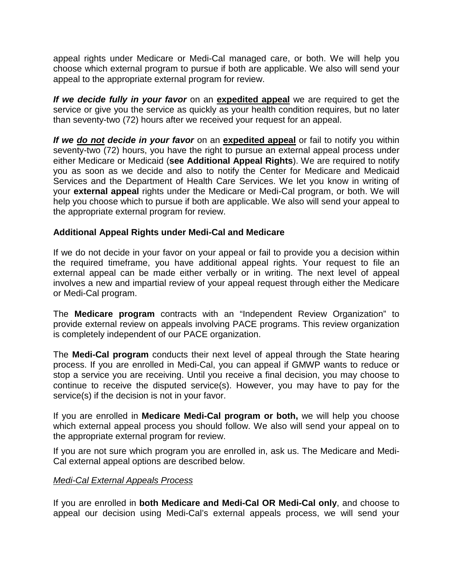appeal rights under Medicare or Medi-Cal managed care, or both. We will help you choose which external program to pursue if both are applicable. We also will send your appeal to the appropriate external program for review.

*If we decide fully in your favor* on an **expedited appeal** we are required to get the service or give you the service as quickly as your health condition requires, but no later than seventy-two (72) hours after we received your request for an appeal.

*If we do not decide in your favor* on an **expedited appeal** or fail to notify you within seventy-two (72) hours, you have the right to pursue an external appeal process under either Medicare or Medicaid (**see Additional Appeal Rights**). We are required to notify you as soon as we decide and also to notify the Center for Medicare and Medicaid Services and the Department of Health Care Services. We let you know in writing of your **external appeal** rights under the Medicare or Medi-Cal program, or both. We will help you choose which to pursue if both are applicable. We also will send your appeal to the appropriate external program for review.

# **Additional Appeal Rights under Medi-Cal and Medicare**

If we do not decide in your favor on your appeal or fail to provide you a decision within the required timeframe, you have additional appeal rights. Your request to file an external appeal can be made either verbally or in writing. The next level of appeal involves a new and impartial review of your appeal request through either the Medicare or Medi-Cal program.

The **Medicare program** contracts with an "Independent Review Organization" to provide external review on appeals involving PACE programs. This review organization is completely independent of our PACE organization.

The **Medi-Cal program** conducts their next level of appeal through the State hearing process. If you are enrolled in Medi-Cal, you can appeal if GMWP wants to reduce or stop a service you are receiving. Until you receive a final decision, you may choose to continue to receive the disputed service(s). However, you may have to pay for the service(s) if the decision is not in your favor.

If you are enrolled in **Medicare Medi-Cal program or both,** we will help you choose which external appeal process you should follow. We also will send your appeal on to the appropriate external program for review.

If you are not sure which program you are enrolled in, ask us. The Medicare and Medi-Cal external appeal options are described below.

## *Medi-Cal External Appeals Process*

If you are enrolled in **both Medicare and Medi-Cal OR Medi-Cal only**, and choose to appeal our decision using Medi-Cal's external appeals process, we will send your